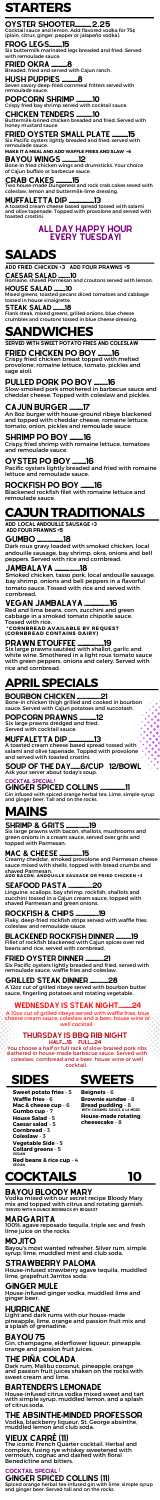# **MAINS**

# **STARTERS**

# OYSTER SHOOTER................ 2.25

# **SALADS**



**Sweet potato fries** - 5 **Waffle fries** - 6 **Mac & cheese cup** - 6 **Gumbo cup** - 7 **House Salad** - 5 **Caesar salad** - 5

Creamy cheddar, smoked provolone and Parmesan cheese sauce mixed with shells, topped with bread crumbs and shaved Parmesan.

**ADD BACON, ANDOUILLE SAUSAGE OR FRIED CHICKEN +3**

Smoked chicken, tasso pork, local andouille sausage, bay shrimp, onions and bell peppers in a flavorful tomato sauce. Tossed with rice and served with cornbread.

### JAMBALAYA ........................18

Dark roux gravy loaded with smoked chicken, local andouille sausage, bay shrimp, okra, onions and bell peppers. Served with rice and cornbread.

### GUMBO .........................18

Red and lima beans, corn, zucchini and green cabbage in a smoked tomato chipotle sauce. Tossed with rice.

**\*CORNBREAD AVAILABLE BY REQUEST (CORNBREAD CONTAINS DAIRY)**

### PRAWN ETOUFFEE .............................19

# VEGAN JAMBALAYA ........................16

Six large prawns sautéed with shallot, garlic and white wine. Smothered in a light roux tomato sauce with green peppers, onions and celery. Served with rice and cornbread.

Bone-in fried chicken wings and drumsticks. Your choice of Cajun buffalo or barbecue sauce.

#### BAYOU WINGS ................12

Breaded, fried and served with Cajun ranch.

#### HUSH PUPPIES ..............8

Seven savory deep-fried cornmeal fritters served with remoulade sauce.

#### POPCORN SHRIMP ................10

Buttermilk-brined chicken breaded and fried. Served with honey mustard sauce.

## FRIED OYSTER SMALL PLATE ..............15

Crispy fried chicken breast topped with melted provolone, romaine lettuce, tomato, pickles and sage aioli.

# PULLED PORK PO BOY ...........16

Slow-smoked pork smothered in barbecue sauce and cheddar cheese. Topped with coleslaw and pickles.

#### FROG LEGS.............15

Six buttermilk marinated legs breaded and fried. Served with remoulade sauce.

#### FRIED OKRA ..............8

Romaine, shaved Parmesan and croutons served with lemon.

An 8oz burger with house-ground ribeye blackened and topped with cheddar cheese, romaine lettuce, tomato, onion, pickles and remoulade sauce.

# CAJUN BURGER .............17

Cocktail sauce and lemon. Add flavored vodka for 75¢ (plain, citrus, ginger, pepper or jalapeño vodka).

Crispy fried bay shrimp served with cocktail sauce.

#### CHICKEN TENDERS ................10

Six Pacific oysters lightly breaded and fried, served with remoulade sauce.

**MAKE IT A MEAL AND ADD WAFFLE FRIES AND SLAW +6**

#### MARGARITA

100% agave reposado tequila, triple sec and fresh lime juice on the rocks.

### BAYOU BLOODY MARY

Vodka mixed with our secret recipe Bloody Mary mix and topped with citrus and rotating garnish. \*served with 5-ounce beerback by request

#### MOJITO

Bayou's most wanted refresher. Silver rum, simple syrup, lime, muddled mint and club soda.

**Cornbread** - 3 **Coleslaw** - 3 **Vegetable Side** - 5 **Collard greens** - 5 **VEGAN VEGAN Red beans & rice cup** - 4

### GINGER MULE

House-infused ginger vodka, muddled lime and ginger beer.

### HURRICANE

CAESAR SALAD .............10 add fried chicken +3 add four prawns +5

Light and dark rums with our house-made pineapple, lime, orange and passion fruit mix and a splash of grenadine.

### BAYOU 75

Gin, champagne, elderflower liqueur, pineapple, orange and passion fruit juices.

#### STRAWBERRY PALOMA

House-infused strawberry agave tequila, muddled lime, grapefruit Jarritos soda.

# VIEUX CARRÉ (11)

The iconic French Quarter cocktail. Herbal and complex, fusing rye whiskey sweetened with vermouth, cognac and dashed with floral Benedictine and bitters.

### BARTENDER'S LEMONADE

House-infused citrus vodka mixed sweet and tart with simple syrup, muddled lemon, and a splash of citrus soda.

### THE ABSINTHE**-**MINDED PROFESSOR

Vodka, blackberry liqueur, St. George absinthe, muddled lemon and club soda.

### THE PIÑA COLADA

Dark rum, Malibu coconut, pineapple, orange and passion fruit juices shaken on the rocks with sweet cream and lime.

# **COCKTAILS 10**

Six large prawns with bacon, shallots, mushrooms and green onions in a cream sauce, served over grits and topped with Parmesan.

#### MAC & CHEESE ...........................15

### SHRIMP & GRITS ........................19

Mixed greens, toasted pecans diced tomatoes and cabbage tossed in house vinaigrette.

#### HOUSE SALAD .............10

Flank steak, mixed greens, grilled onions, blue cheese crumbles and croutons tossed in blue cheese dressing.

#### STEAK SALAD .............18

# **SANDWICHES**

# **CAJUNTRADITIONALS**

ADD LOCAL ANDOUILLE SAUSAGE +3 ADD FOUR PRAWNS +5

Linguine, scallops, bay shrimp, rockfish, shallots and zucchini tossed in a Cajun cream sauce, topped with shaved Parmesan and green onions.

### SEAFOOD PASTA .........................20

Flaky, deep-fried rockfish strips served with waffle fries, coleslaw and remoulade sauce.

### BLACKENED ROCKFISH DINNER ...............19

#### ROCKFISH & CHIPS ........................19

Fillet of rockfish blackened with Cajun spices over red beans and rice, served with cornbread.

Six Pacific oysters lightly breaded and fried, served with remoulade sauce, waffle fries and coleslaw.

### FRIED OYSTER DINNER ...................21

SERVED WITH SWEET POTATO FRIES AND COLESLAW

# FRIED CHICKEN PO BOY ..........16

Crispy fried shrimp with romaine lettuce, tomatoes and remoulade sauce.

# SHRIMP PO BOY .............16

Pacific oysters lightly breaded and fried with romaine lettuce and remoulade sauce.

# OYSTER PO BOY .............16

Blackened rockfish filet with romaine lettuce and remoulade sauce.

# ROCKFISH PO BOY .............16

**Beignets** - 6 **Brownie sundae** - 8 **Bread pudding** - 8 **House-made rotating cheesecake** - 8 With caramel sauce, a la mode

Two house-made Dungeness and rock crab cakes seved with coleslaw, lemon and buttermilk-lime dressing.

#### CRAB CAKES ................15

A 12oz cut of grilled ribeye served with bourbon butter sauce, fingerling potatoes and rotating vegetable.

#### GRILLED STEAK DINNER ...................28

A toasted cream cheese based spread tossed with salami and olive tapenade. Topped with provolone and served with toasted crostini.

### MUFFALETTA DIP .........................13

### ALL DAY HAPPY HOUR EVERY TUESDAY!

A 10oz cut of grilled ribeye served with waffle fries, blue cheese cream sauce, coleslaw and a beer, house wine or well cocktail.

### WEDNESDAY IS STEAK NIGHT..............24

You choose a half or full rack of slow-braised pork ribs slathered in house-made barbecue sauce. Served with coleslaw, cornbread and a beer, house wine or well cocktail.

#### THURSDAY IS BBQ RIB NIGHT HALF.......16 FULL......24

# **APRILSPECIALS**

Six large prawns dredged and fried. Served with cocktail sauce.

#### MUFFALETTA DIP .........................13

### POPCORN PRAWNS .................12

Bone-in chicken thigh grilled and cooked in bourbon sauce. Served with Cajun potatoes and succotash.

#### BOURBON CHICKEN .........................21

Ask your server about today's soup.

# SOUP OF THE DAY..........6/CUP 12/BOWL

A toasted cream cheese based spread tossed with

salami and olive tapenade. Topped with provolone and served with toasted crostini.

Gin infused with spiced orange herbal tea. Lime, simple syrup and ginger beer. Tall and on the rocks.

COCKTAIL SPECIAL !

#### GINGER SPICED COLLINS ..........................11

#### GINGER SPICED COLLINS (11) COCKTAIL SPECIAL !

Spiced orange herbal tea-infused gin with lime, simple syrup and ginger beer. Served tall and on the rocks.